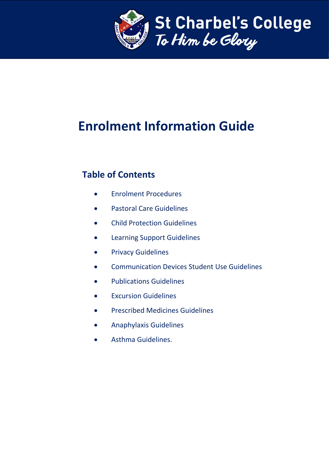

# **Enrolment Information Guide**

# **Table of Contents**

- **•** Fnrolment Procedures
- Pastoral Care Guidelines
- Child Protection Guidelines
- Learning Support Guidelines
- **•** Privacy Guidelines
- Communication Devices Student Use Guidelines
- **•** Publications Guidelines
- **•** Excursion Guidelines
- **•** Prescribed Medicines Guidelines
- Anaphylaxis Guidelines
- Asthma Guidelines.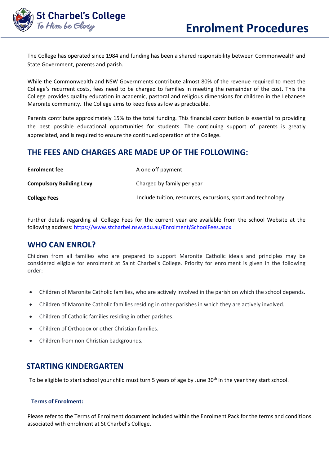

The College has operated since 1984 and funding has been a shared responsibility between Commonwealth and State Government, parents and parish.

While the Commonwealth and NSW Governments contribute almost 80% of the revenue required to meet the College's recurrent costs, fees need to be charged to families in meeting the remainder of the cost. This the College provides quality education in academic, pastoral and religious dimensions for children in the Lebanese Maronite community. The College aims to keep fees as low as practicable.

Parents contribute approximately 15% to the total funding. This financial contribution is essential to providing the best possible educational opportunities for students. The continuing support of parents is greatly appreciated, and is required to ensure the continued operation of the College.

# **THE FEES AND CHARGES ARE MADE UP OF THE FOLLOWING:**

| <b>Enrolment fee</b>            | A one off payment                                             |
|---------------------------------|---------------------------------------------------------------|
| <b>Compulsory Building Levy</b> | Charged by family per year                                    |
| <b>College Fees</b>             | Include tuition, resources, excursions, sport and technology. |

Further details regarding all College Fees for the current year are available from the school Website at the following address[: https://www.stcharbel.nsw.edu.au/Enrolment/SchoolFees.aspx](https://www.stcharbel.nsw.edu.au/Enrolment/SchoolFees.aspx)

# **WHO CAN ENROL?**

Children from all families who are prepared to support Maronite Catholic ideals and principles may be considered eligible for enrolment at Saint Charbel's College. Priority for enrolment is given in the following order:

- Children of Maronite Catholic families, who are actively involved in the parish on which the school depends.
- Children of Maronite Catholic families residing in other parishes in which they are actively involved.
- Children of Catholic families residing in other parishes.
- Children of Orthodox or other Christian families.
- Children from non-Christian backgrounds.

# **STARTING KINDERGARTEN**

To be eligible to start school your child must turn 5 years of age by June 30<sup>th</sup> in the year they start school.

#### **Terms of Enrolment:**

Please refer to the Terms of Enrolment document included within the Enrolment Pack for the terms and conditions associated with enrolment at St Charbel's College.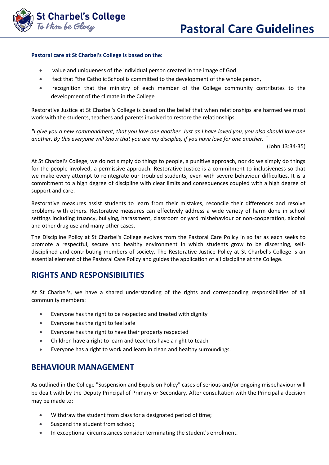

#### **Pastoral care at St Charbel's College is based on the:**

- value and uniqueness of the individual person created in the image of God
- fact that "the Catholic School is committed to the development of the whole person,
- recognition that the ministry of each member of the College community contributes to the development of the climate in the College

Restorative Justice at St Charbel's College is based on the belief that when relationships are harmed we must work with the students, teachers and parents involved to restore the relationships.

*"I give you a new commandment, that you love one another. Just as I have loved you, you also should love one another. By this everyone will know that you are my disciples, if you have love for one another. "* 

(John 13:34-35)

At St Charbel's College, we do not simply do things to people, a punitive approach, nor do we simply do things for the people involved, a permissive approach. Restorative Justice is a commitment to inclusiveness so that we make every attempt to reintegrate our troubled students, even with severe behaviour difficulties. It is a commitment to a high degree of discipline with clear limits and consequences coupled with a high degree of support and care.

Restorative measures assist students to learn from their mistakes, reconcile their differences and resolve problems with others. Restorative measures can effectively address a wide variety of harm done in school settings including truancy, bullying, harassment, classroom or yard misbehaviour or non-cooperation, alcohol and other drug use and many other cases.

The Discipline Policy at St Charbel's College evolves from the Pastoral Care Policy in so far as each seeks to promote a respectful, secure and healthy environment in which students grow to be discerning, selfdisciplined and contributing members of society. The Restorative Justice Policy at St Charbel's College is an essential element of the Pastoral Care Policy and guides the application of all discipline at the College.

# **RIGHTS AND RESPONSIBILITIES**

At St Charbel's, we have a shared understanding of the rights and corresponding responsibilities of all community members:

- Everyone has the right to be respected and treated with dignity
- Everyone has the right to feel safe
- Everyone has the right to have their property respected
- Children have a right to learn and teachers have a right to teach
- Everyone has a right to work and learn in clean and healthy surroundings.

# **BEHAVIOUR MANAGEMENT**

As outlined in the College "Suspension and Expulsion Policy" cases of serious and/or ongoing misbehaviour will be dealt with by the Deputy Principal of Primary or Secondary. After consultation with the Principal a decision may be made to:

- Withdraw the student from class for a designated period of time;
- Suspend the student from school;
- In exceptional circumstances consider terminating the student's enrolment.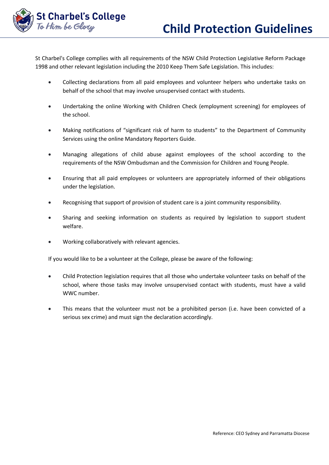

St Charbel's College complies with all requirements of the NSW Child Protection Legislative Reform Package 1998 and other relevant legislation including the 2010 Keep Them Safe Legislation. This includes:

- Collecting declarations from all paid employees and volunteer helpers who undertake tasks on behalf of the school that may involve unsupervised contact with students.
- Undertaking the online Working with Children Check (employment screening) for employees of the school.
- Making notifications of "significant risk of harm to students" to the Department of Community Services using the online Mandatory Reporters Guide.
- Managing allegations of child abuse against employees of the school according to the requirements of the NSW Ombudsman and the Commission for Children and Young People.
- Ensuring that all paid employees or volunteers are appropriately informed of their obligations under the legislation.
- Recognising that support of provision of student care is a joint community responsibility.
- Sharing and seeking information on students as required by legislation to support student welfare.
- Working collaboratively with relevant agencies.

If you would like to be a volunteer at the College, please be aware of the following:

- Child Protection legislation requires that all those who undertake volunteer tasks on behalf of the school, where those tasks may involve unsupervised contact with students, must have a valid WWC number.
- This means that the volunteer must not be a prohibited person (i.e. have been convicted of a serious sex crime) and must sign the declaration accordingly.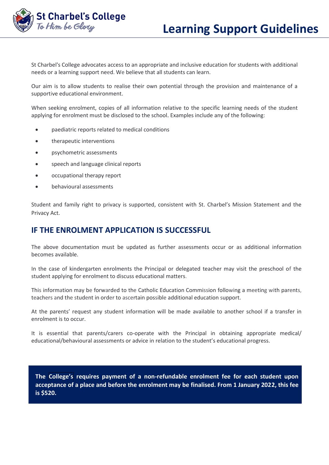

St Charbel's College advocates access to an appropriate and inclusive education for students with additional needs or a learning support need. We believe that all students can learn.

Our aim is to allow students to realise their own potential through the provision and maintenance of a supportive educational environment.

When seeking enrolment, copies of all information relative to the specific learning needs of the student applying for enrolment must be disclosed to the school. Examples include any of the following:

- paediatric reports related to medical conditions
- therapeutic interventions
- psychometric assessments
- speech and language clinical reports
- occupational therapy report
- behavioural assessments

Student and family right to privacy is supported, consistent with St. Charbel's Mission Statement and the Privacy Act.

# **IF THE ENROLMENT APPLICATION IS SUCCESSFUL**

The above documentation must be updated as further assessments occur or as additional information becomes available.

In the case of kindergarten enrolments the Principal or delegated teacher may visit the preschool of the student applying for enrolment to discuss educational matters.

This information may be forwarded to the Catholic Education Commission following a meeting with parents, teachers and the student in order to ascertain possible additional education support.

At the parents' request any student information will be made available to another school if a transfer in enrolment is to occur.

It is essential that parents/carers co-operate with the Principal in obtaining appropriate medical/ educational/behavioural assessments or advice in relation to the student's educational progress.

**The College's requires payment of a non-refundable enrolment fee for each student upon acceptance of a place and before the enrolment may be finalised. From 1 January 2022, this fee is \$520.**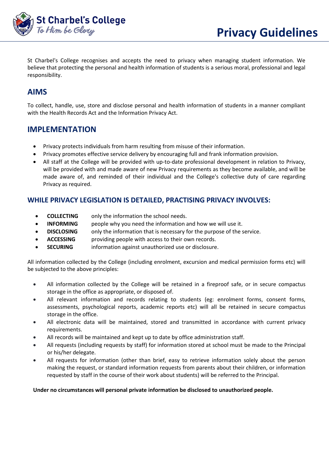

St Charbel's College recognises and accepts the need to privacy when managing student information. We believe that protecting the personal and health information of students is a serious moral, professional and legal responsibility.

# **AIMS**

To collect, handle, use, store and disclose personal and health information of students in a manner compliant with the Health Records Act and the Information Privacy Act.

# **IMPLEMENTATION**

- Privacy protects individuals from harm resulting from misuse of their information.
- Privacy promotes effective service delivery by encouraging full and frank information provision.
- All staff at the College will be provided with up-to-date professional development in relation to Privacy, will be provided with and made aware of new Privacy requirements as they become available, and will be made aware of, and reminded of their individual and the College's collective duty of care regarding Privacy as required.

## **WHILE PRIVACY LEGISLATION IS DETAILED, PRACTISING PRIVACY INVOLVES:**

- **COLLECTING** only the information the school needs.
- **INFORMING** people why you need the information and how we will use it.
- **DISCLOSING** only the information that is necessary for the purpose of the service.
- **ACCESSING** providing people with access to their own records.
- **SECURING** information against unauthorized use or disclosure.

All information collected by the College (including enrolment, excursion and medical permission forms etc) will be subjected to the above principles:

- All information collected by the College will be retained in a fireproof safe, or in secure compactus storage in the office as appropriate, or disposed of.
- All relevant information and records relating to students (eg: enrolment forms, consent forms, assessments, psychological reports, academic reports etc) will all be retained in secure compactus storage in the office.
- All electronic data will be maintained, stored and transmitted in accordance with current privacy requirements.
- All records will be maintained and kept up to date by office administration staff.
- All requests (including requests by staff) for information stored at school must be made to the Principal or his/her delegate.
- All requests for information (other than brief, easy to retrieve information solely about the person making the request, or standard information requests from parents about their children, or information requested by staff in the course of their work about students) will be referred to the Principal.

#### **Under no circumstances will personal private information be disclosed to unauthorized people.**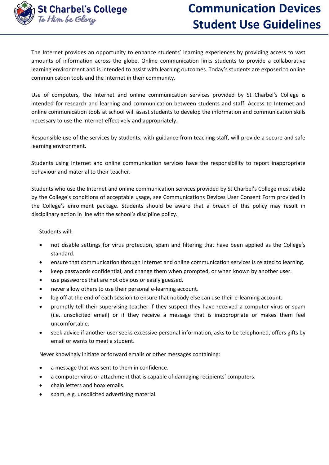

The Internet provides an opportunity to enhance students' learning experiences by providing access to vast amounts of information across the globe. Online communication links students to provide a collaborative learning environment and is intended to assist with learning outcomes. Today's students are exposed to online communication tools and the Internet in their community.

Use of computers, the Internet and online communication services provided by St Charbel's College is intended for research and learning and communication between students and staff. Access to Internet and online communication tools at school will assist students to develop the information and communication skills necessary to use the Internet effectively and appropriately.

Responsible use of the services by students, with guidance from teaching staff, will provide a secure and safe learning environment.

Students using Internet and online communication services have the responsibility to report inappropriate behaviour and material to their teacher.

Students who use the Internet and online communication services provided by St Charbel's College must abide by the College's conditions of acceptable usage, see Communications Devices User Consent Form provided in the College's enrolment package. Students should be aware that a breach of this policy may result in disciplinary action in line with the school's discipline policy.

Students will:

- not disable settings for virus protection, spam and filtering that have been applied as the College's standard.
- ensure that communication through Internet and online communication services is related to learning.
- keep passwords confidential, and change them when prompted, or when known by another user.
- use passwords that are not obvious or easily guessed.
- never allow others to use their personal e-learning account.
- log off at the end of each session to ensure that nobody else can use their e-learning account.
- promptly tell their supervising teacher if they suspect they have received a computer virus or spam (i.e. unsolicited email) or if they receive a message that is inappropriate or makes them feel uncomfortable.
- seek advice if another user seeks excessive personal information, asks to be telephoned, offers gifts by email or wants to meet a student.

Never knowingly initiate or forward emails or other messages containing:

- a message that was sent to them in confidence.
- a computer virus or attachment that is capable of damaging recipients' computers.
- chain letters and hoax emails.
- spam, e.g. unsolicited advertising material.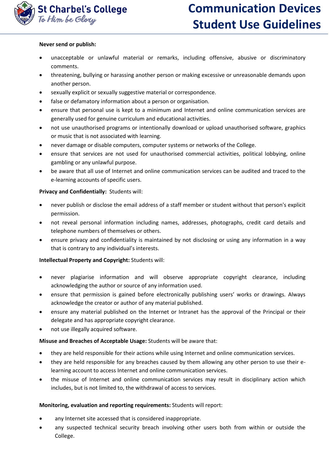

#### **Never send or publish:**

- unacceptable or unlawful material or remarks, including offensive, abusive or discriminatory comments.
- threatening, bullying or harassing another person or making excessive or unreasonable demands upon another person.
- sexually explicit or sexually suggestive material or correspondence.
- false or defamatory information about a person or organisation.
- ensure that personal use is kept to a minimum and Internet and online communication services are generally used for genuine curriculum and educational activities.
- not use unauthorised programs or intentionally download or upload unauthorised software, graphics or music that is not associated with learning.
- never damage or disable computers, computer systems or networks of the College.
- ensure that services are not used for unauthorised commercial activities, political lobbying, online gambling or any unlawful purpose.
- be aware that all use of Internet and online communication services can be audited and traced to the e-learning accounts of specific users.

#### **Privacy and Confidentially:** Students will:

- never publish or disclose the email address of a staff member or student without that person's explicit permission.
- not reveal personal information including names, addresses, photographs, credit card details and telephone numbers of themselves or others.
- ensure privacy and confidentiality is maintained by not disclosing or using any information in a way that is contrary to any individual's interests.

#### **Intellectual Property and Copyright:** Students will:

- never plagiarise information and will observe appropriate copyright clearance, including acknowledging the author or source of any information used.
- ensure that permission is gained before electronically publishing users' works or drawings. Always acknowledge the creator or author of any material published.
- ensure any material published on the Internet or Intranet has the approval of the Principal or their delegate and has appropriate copyright clearance.
- not use illegally acquired software.

#### **Misuse and Breaches of Acceptable Usage:** Students will be aware that:

- they are held responsible for their actions while using Internet and online communication services.
- they are held responsible for any breaches caused by them allowing any other person to use their elearning account to access Internet and online communication services.
- the misuse of Internet and online communication services may result in disciplinary action which includes, but is not limited to, the withdrawal of access to services.

#### **Monitoring, evaluation and reporting requirements:** Students will report:

- any Internet site accessed that is considered inappropriate.
- any suspected technical security breach involving other users both from within or outside the College.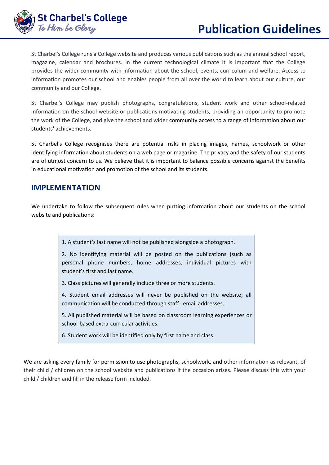

St Charbel's College runs a College website and produces various publications such as the annual school report, magazine, calendar and brochures. In the current technological climate it is important that the College provides the wider community with information about the school, events, curriculum and welfare. Access to information promotes our school and enables people from all over the world to learn about our culture, our community and our College.

St Charbel's College may publish photographs, congratulations, student work and other school-related information on the school website or publications motivating students, providing an opportunity to promote the work of the College, and give the school and wider community access to a range of information about our students' achievements.

St Charbel's College recognises there are potential risks in placing images, names, schoolwork or other identifying information about students on a web page or magazine. The privacy and the safety of our students are of utmost concern to us. We believe that it is important to balance possible concerns against the benefits in educational motivation and promotion of the school and its students.

# **IMPLEMENTATION**

We undertake to follow the subsequent rules when putting information about our students on the school website and publications:

1. A student's last name will not be published alongside a photograph.

2. No identifying material will be posted on the publications (such as personal phone numbers, home addresses, individual pictures with student's first and last name.

3. Class pictures will generally include three or more students.

4. Student email addresses will never be published on the website; all communication will be conducted through staff email addresses.

5. All published material will be based on classroom learning experiences or school-based extra-curricular activities.

6. Student work will be identified only by first name and class.

We are asking every family for permission to use photographs, schoolwork, and other information as relevant, of their child / children on the school website and publications if the occasion arises. Please discuss this with your child / children and fill in the release form included.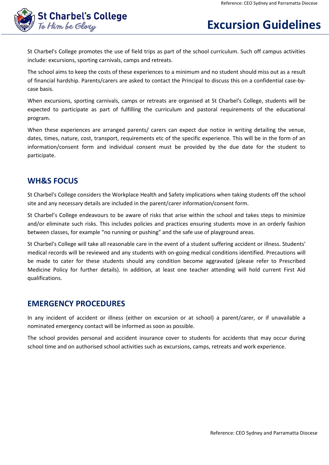

# **Excursion Guidelines**

St Charbel's College promotes the use of field trips as part of the school curriculum. Such off campus activities include: excursions, sporting carnivals, camps and retreats.

The school aims to keep the costs of these experiences to a minimum and no student should miss out as a result of financial hardship. Parents/carers are asked to contact the Principal to discuss this on a confidential case-bycase basis.

When excursions, sporting carnivals, camps or retreats are organised at St Charbel's College, students will be expected to participate as part of fulfilling the curriculum and pastoral requirements of the educational program.

When these experiences are arranged parents/ carers can expect due notice in writing detailing the venue, dates, times, nature, cost, transport, requirements etc of the specific experience. This will be in the form of an information/consent form and individual consent must be provided by the due date for the student to participate.

## **WH&S FOCUS**

St Charbel's College considers the Workplace Health and Safety implications when taking students off the school site and any necessary details are included in the parent/carer information/consent form.

St Charbel's College endeavours to be aware of risks that arise within the school and takes steps to minimize and/or eliminate such risks. This includes policies and practices ensuring students move in an orderly fashion between classes, for example "no running or pushing" and the safe use of playground areas.

St Charbel's College will take all reasonable care in the event of a student suffering accident or illness. Students' medical records will be reviewed and any students with on-going medical conditions identified. Precautions will be made to cater for these students should any condition become aggravated (please refer to Prescribed Medicine Policy for further details). In addition, at least one teacher attending will hold current First Aid qualifications.

# **EMERGENCY PROCEDURES**

In any incident of accident or illness (either on excursion or at school) a parent/carer, or if unavailable a nominated emergency contact will be informed as soon as possible.

The school provides personal and accident insurance cover to students for accidents that may occur during school time and on authorised school activities such as excursions, camps, retreats and work experience.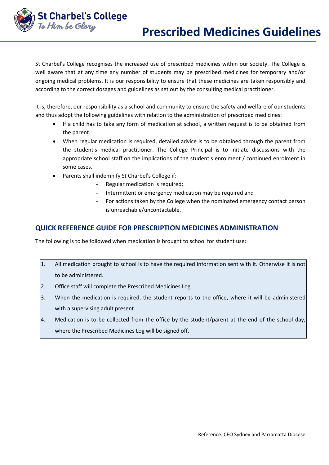

I

St Charbel's College recognises the increased use of prescribed medicines within our society. The College is well aware that at any time any number of students may be prescribed medicines for temporary and/or ongoing medical problems. It is our responsibility to ensure that these medicines are taken responsibly and according to the correct dosages and guidelines as set out by the consulting medical practitioner.

It is, therefore, our responsibility as a school and community to ensure the safety and welfare of our students and thus adopt the following guidelines with relation to the administration of prescribed medicines:

- If a child has to take any form of medication at school, a written request is to be obtained from the parent.
- When regular medication is required, detailed advice is to be obtained through the parent from the student's medical practitioner. The College Principal is to initiate discussions with the appropriate school staff on the implications of the student's enrolment / continued enrolment in some cases.
- Parents shall indemnify St Charbel's College if:
	- Regular medication is required;
	- Intermittent or emergency medication may be required and
	- For actions taken by the College when the nominated emergency contact person is unreachable/uncontactable.

### **QUICK REFERENCE GUIDE FOR PRESCRIPTION MEDICINES ADMINISTRATION**

The following is to be followed when medication is brought to school for student use:

- 1. All medication brought to school is to have the required information sent with it. Otherwise it is not to be administered.
- 2. Office staff will complete the Prescribed Medicines Log.
- 3. When the medication is required, the student reports to the office, where it will be administered with a supervising adult present.
- 4. Medication is to be collected from the office by the student/parent at the end of the school day, where the Prescribed Medicines Log will be signed off.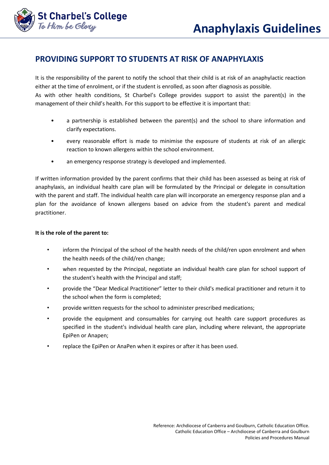

# **PROVIDING SUPPORT TO STUDENTS AT RISK OF ANAPHYLAXIS**

It is the responsibility of the parent to notify the school that their child is at risk of an anaphylactic reaction either at the time of enrolment, or if the student is enrolled, as soon after diagnosis as possible. As with other health conditions, St Charbel's College provides support to assist the parent(s) in the management of their child's health. For this support to be effective it is important that:

- a partnership is established between the parent(s) and the school to share information and clarify expectations.
- every reasonable effort is made to minimise the exposure of students at risk of an allergic reaction to known allergens within the school environment.
- an emergency response strategy is developed and implemented.

If written information provided by the parent confirms that their child has been assessed as being at risk of anaphylaxis, an individual health care plan will be formulated by the Principal or delegate in consultation with the parent and staff. The individual health care plan will incorporate an emergency response plan and a plan for the avoidance of known allergens based on advice from the student's parent and medical practitioner.

#### **It is the role of the parent to:**

- inform the Principal of the school of the health needs of the child/ren upon enrolment and when the health needs of the child/ren change;
- when requested by the Principal, negotiate an individual health care plan for school support of the student's health with the Principal and staff;
- provide the "Dear Medical Practitioner" letter to their child's medical practitioner and return it to the school when the form is completed;
- provide written requests for the school to administer prescribed medications;
- provide the equipment and consumables for carrying out health care support procedures as specified in the student's individual health care plan, including where relevant, the appropriate EpiPen or Anapen;
- replace the EpiPen or AnaPen when it expires or after it has been used.